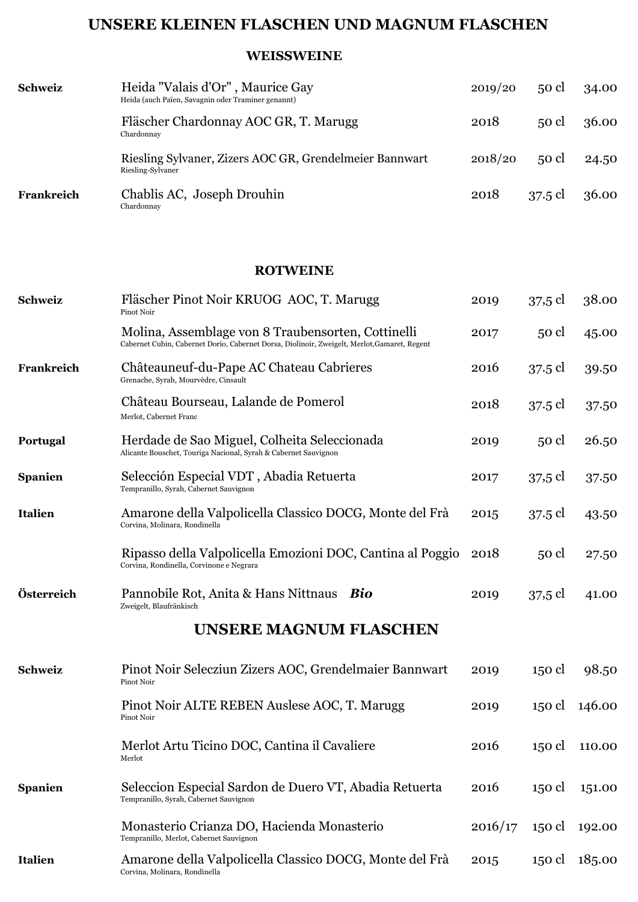## **UNSERE KLEINEN FLASCHEN UND MAGNUM FLASCHEN**

## **WEISSWEINE**

| <b>Schweiz</b> | Heida "Valais d'Or", Maurice Gay<br>Heida (auch Païen, Savagnin oder Traminer genannt) | 2019/20 | $50$ cl | 34.00 |
|----------------|----------------------------------------------------------------------------------------|---------|---------|-------|
|                | Fläscher Chardonnay AOC GR, T. Marugg<br>Chardonnay                                    | 2018    | $50$ cl | 36.00 |
|                | Riesling Sylvaner, Zizers AOC GR, Grendelmeier Bannwart<br>Riesling-Sylvaner           | 2018/20 | $50$ cl | 24.50 |
| Frankreich     | Chablis AC, Joseph Drouhin<br>Chardonnav                                               | 2018    | 37.5 cl | 36.00 |

## **ROTWEINE**

| Schweiz        | Fläscher Pinot Noir KRUOG AOC, T. Marugg<br>Pinot Noir                                                                                             | 2019    | 37,5 cl | 38.00  |
|----------------|----------------------------------------------------------------------------------------------------------------------------------------------------|---------|---------|--------|
|                | Molina, Assemblage von 8 Traubensorten, Cottinelli<br>Cabernet Cubin, Cabernet Dorio, Cabernet Dorsa, Diolinoir, Zweigelt, Merlot, Gamaret, Regent | 2017    | 50 cl   | 45.00  |
| Frankreich     | Châteauneuf-du-Pape AC Chateau Cabrieres<br>Grenache, Syrah, Mourvèdre, Cinsault                                                                   | 2016    | 37.5 cl | 39.50  |
|                | Château Bourseau, Lalande de Pomerol<br>Merlot, Cabernet Franc                                                                                     | 2018    | 37.5 cl | 37.50  |
| Portugal       | Herdade de Sao Miguel, Colheita Seleccionada<br>Alicante Bouschet, Touriga Nacional, Syrah & Cabernet Sauvignon                                    | 2019    | 50 cl   | 26.50  |
| <b>Spanien</b> | Selección Especial VDT, Abadia Retuerta<br>Tempranillo, Syrah, Cabernet Sauvignon                                                                  | 2017    | 37,5 cl | 37.50  |
| <b>Italien</b> | Amarone della Valpolicella Classico DOCG, Monte del Frà<br>Corvina, Molinara, Rondinella                                                           | 2015    | 37.5 cl | 43.50  |
|                | Ripasso della Valpolicella Emozioni DOC, Cantina al Poggio<br>Corvina, Rondinella, Corvinone e Negrara                                             | 2018    | 50 cl   | 27.50  |
| Österreich     | Pannobile Rot, Anita & Hans Nittnaus Bio<br>Zweigelt, Blaufränkisch                                                                                | 2019    | 37,5 cl | 41.00  |
|                | <b>UNSERE MAGNUM FLASCHEN</b>                                                                                                                      |         |         |        |
| <b>Schweiz</b> | Pinot Noir Selecziun Zizers AOC, Grendelmaier Bannwart<br>Pinot Noir                                                                               | 2019    | 150 cl  | 98.50  |
|                | Pinot Noir ALTE REBEN Auslese AOC, T. Marugg<br>Pinot Noir                                                                                         | 2019    | 150 cl  | 146.00 |
|                | Merlot Artu Ticino DOC, Cantina il Cavaliere<br>Merlot                                                                                             | 2016    | 150 cl  | 110.00 |
| <b>Spanien</b> | Seleccion Especial Sardon de Duero VT, Abadia Retuerta<br>Tempranillo, Syrah, Cabernet Sauvignon                                                   | 2016    | 150 cl  | 151.00 |
|                | Monasterio Crianza DO, Hacienda Monasterio<br>Tempranillo, Merlot, Cabernet Sauvignon                                                              | 2016/17 | 150 cl  | 192.00 |
| <b>Italien</b> | Amarone della Valpolicella Classico DOCG, Monte del Frà<br>Corvina, Molinara, Rondinella                                                           | 2015    | 150 cl  | 185.00 |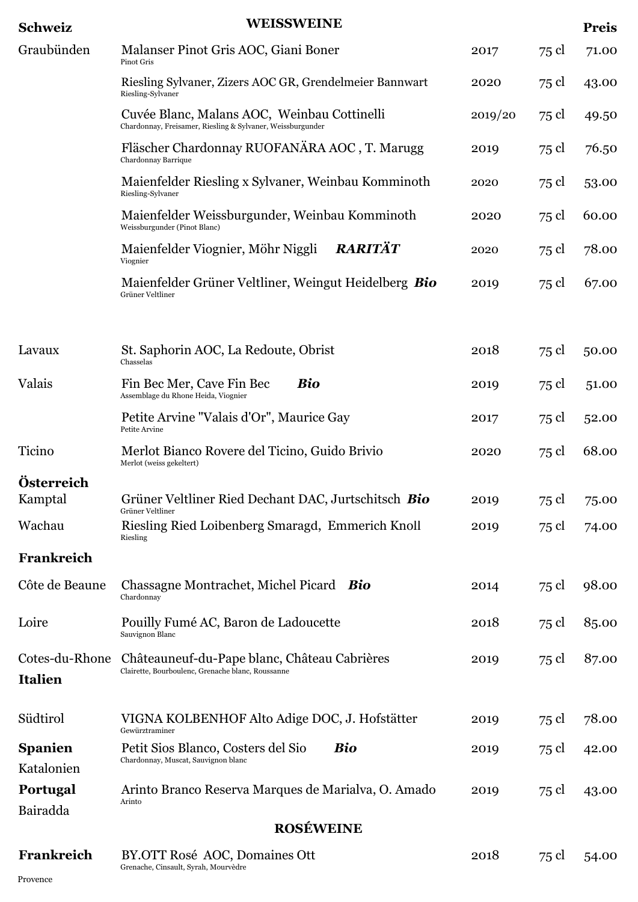| <b>Schweiz</b>                   | <b>WEISSWEINE</b>                                                                                         |         |       | <b>Preis</b> |
|----------------------------------|-----------------------------------------------------------------------------------------------------------|---------|-------|--------------|
| Graubünden                       | Malanser Pinot Gris AOC, Giani Boner<br>Pinot Gris                                                        | 2017    | 75 cl | 71.00        |
|                                  | Riesling Sylvaner, Zizers AOC GR, Grendelmeier Bannwart<br>Riesling-Sylvaner                              | 2020    | 75 cl | 43.00        |
|                                  | Cuvée Blanc, Malans AOC, Weinbau Cottinelli<br>Chardonnay, Freisamer, Riesling & Sylvaner, Weissburgunder | 2019/20 | 75 cl | 49.50        |
|                                  | Fläscher Chardonnay RUOFANÄRA AOC, T. Marugg<br>Chardonnay Barrique                                       | 2019    | 75 cl | 76.50        |
|                                  | Maienfelder Riesling x Sylvaner, Weinbau Komminoth<br>Riesling-Sylvaner                                   | 2020    | 75 cl | 53.00        |
|                                  | Maienfelder Weissburgunder, Weinbau Komminoth<br>Weissburgunder (Pinot Blanc)                             | 2020    | 75 cl | 60.00        |
|                                  | <b>RARITÄT</b><br>Maienfelder Viognier, Möhr Niggli<br>Viognier                                           | 2020    | 75 cl | 78.00        |
|                                  | Maienfelder Grüner Veltliner, Weingut Heidelberg Bio<br>Grüner Veltliner                                  | 2019    | 75 cl | 67.00        |
|                                  |                                                                                                           |         |       |              |
| Lavaux                           | St. Saphorin AOC, La Redoute, Obrist<br>Chasselas                                                         | 2018    | 75 cl | 50.00        |
| Valais                           | Fin Bec Mer, Cave Fin Bec<br>Bio<br>Assemblage du Rhone Heida, Viognier                                   | 2019    | 75 cl | 51.00        |
|                                  | Petite Arvine "Valais d'Or", Maurice Gay<br>Petite Arvine                                                 | 2017    | 75 cl | 52.00        |
| Ticino                           | Merlot Bianco Rovere del Ticino, Guido Brivio<br>Merlot (weiss gekeltert)                                 | 2020    | 75 cl | 68.00        |
| Österreich                       |                                                                                                           |         |       |              |
| Kamptal                          | Grüner Veltliner Ried Dechant DAC, Jurtschitsch Bio<br>Grüner Veltliner                                   | 2019    | 75 cl | 75.00        |
| Wachau                           | Riesling Ried Loibenberg Smaragd, Emmerich Knoll<br>Riesling                                              | 2019    | 75 cl | 74.00        |
| Frankreich                       |                                                                                                           |         |       |              |
| Côte de Beaune                   | Chassagne Montrachet, Michel Picard Bio<br>Chardonnay                                                     | 2014    | 75 cl | 98.00        |
| Loire                            | Pouilly Fumé AC, Baron de Ladoucette<br>Sauvignon Blanc                                                   | 2018    | 75 cl | 85.00        |
| Cotes-du-Rhone<br><b>Italien</b> | Châteauneuf-du-Pape blanc, Château Cabrières<br>Clairette, Bourboulenc, Grenache blanc, Roussanne         | 2019    | 75 cl | 87.00        |
| Südtirol                         | VIGNA KOLBENHOF Alto Adige DOC, J. Hofstätter<br>Gewürztraminer                                           | 2019    | 75 cl | 78.00        |
| <b>Spanien</b><br>Katalonien     | <b>Bio</b><br>Petit Sios Blanco, Costers del Sio<br>Chardonnay, Muscat, Sauvignon blanc                   | 2019    | 75 cl | 42.00        |
| <b>Portugal</b><br>Bairadda      | Arinto Branco Reserva Marques de Marialva, O. Amado<br>Arinto                                             | 2019    | 75 cl | 43.00        |
|                                  | <b>ROSÉWEINE</b>                                                                                          |         |       |              |
|                                  |                                                                                                           |         |       |              |
| Frankreich                       | BY.OTT Rosé AOC, Domaines Ott                                                                             | 2018    | 75 cl | 54.00        |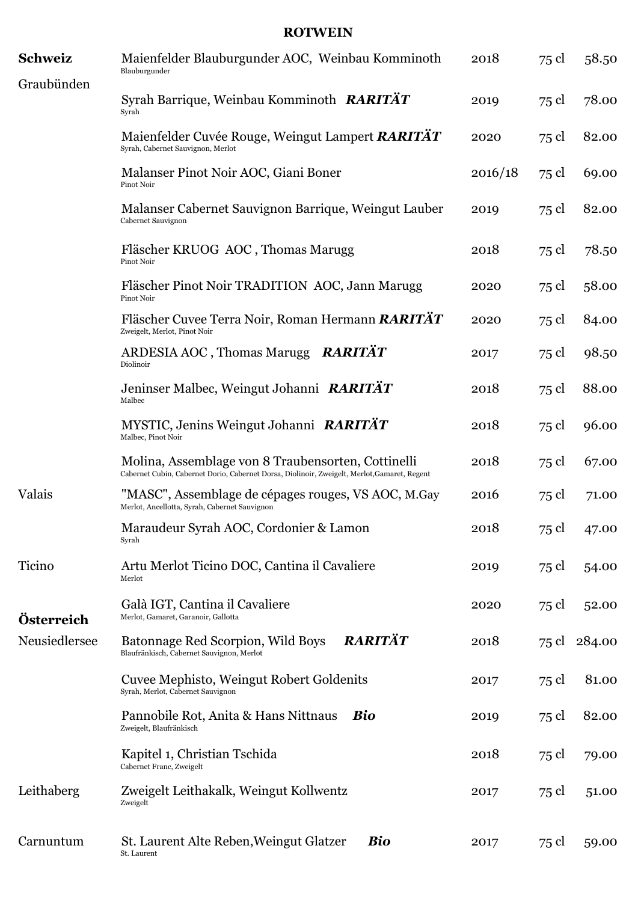## **ROTWEIN**

| <b>Schweiz</b> | Maienfelder Blauburgunder AOC, Weinbau Komminoth<br>Blauburgunder                                                                                  | 2018    | 75 cl | 58.50        |
|----------------|----------------------------------------------------------------------------------------------------------------------------------------------------|---------|-------|--------------|
| Graubünden     | Syrah Barrique, Weinbau Komminoth RARITÄT<br>Syrah                                                                                                 | 2019    | 75 cl | 78.00        |
|                | Maienfelder Cuvée Rouge, Weingut Lampert RARITÄT<br>Syrah, Cabernet Sauvignon, Merlot                                                              | 2020    | 75 cl | 82.00        |
|                | Malanser Pinot Noir AOC, Giani Boner<br>Pinot Noir                                                                                                 | 2016/18 | 75 cl | 69.00        |
|                | Malanser Cabernet Sauvignon Barrique, Weingut Lauber<br>Cabernet Sauvignon                                                                         | 2019    | 75 cl | 82.00        |
|                | Fläscher KRUOG AOC, Thomas Marugg<br>Pinot Noir                                                                                                    | 2018    | 75 cl | 78.50        |
|                | Fläscher Pinot Noir TRADITION AOC, Jann Marugg<br>Pinot Noir                                                                                       | 2020    | 75 cl | 58.00        |
|                | Fläscher Cuvee Terra Noir, Roman Hermann RARITÄT<br>Zweigelt, Merlot, Pinot Noir                                                                   | 2020    | 75 cl | 84.00        |
|                | RARITÄT<br>ARDESIA AOC, Thomas Marugg<br>Diolinoir                                                                                                 | 2017    | 75 cl | 98.50        |
|                | Jeninser Malbec, Weingut Johanni RARITÄT<br>Malbec                                                                                                 | 2018    | 75 cl | 88.00        |
|                | MYSTIC, Jenins Weingut Johanni RARITÄT<br>Malbec, Pinot Noir                                                                                       | 2018    | 75 cl | 96.00        |
|                | Molina, Assemblage von 8 Traubensorten, Cottinelli<br>Cabernet Cubin, Cabernet Dorio, Cabernet Dorsa, Diolinoir, Zweigelt, Merlot, Gamaret, Regent | 2018    | 75 cl | 67.00        |
| Valais         | "MASC", Assemblage de cépages rouges, VS AOC, M.Gay<br>Merlot, Ancellotta, Syrah, Cabernet Sauvignon                                               | 2016    | 75 cl | 71.00        |
|                | Maraudeur Syrah AOC, Cordonier & Lamon<br>Syrah                                                                                                    | 2018    | 75 cl | 47.00        |
| Ticino         | Artu Merlot Ticino DOC, Cantina il Cavaliere<br>Merlot                                                                                             | 2019    | 75 cl | 54.00        |
| Österreich     | Galà IGT, Cantina il Cavaliere<br>Merlot, Gamaret, Garanoir, Gallotta                                                                              | 2020    | 75 cl | 52.00        |
| Neusiedlersee  | RARITÄT<br>Batonnage Red Scorpion, Wild Boys<br>Blaufränkisch, Cabernet Sauvignon, Merlot                                                          | 2018    |       | 75 cl 284.00 |
|                | Cuvee Mephisto, Weingut Robert Goldenits<br>Syrah, Merlot, Cabernet Sauvignon                                                                      | 2017    | 75 cl | 81.00        |
|                | Pannobile Rot, Anita & Hans Nittnaus<br><b>Bio</b><br>Zweigelt, Blaufränkisch                                                                      | 2019    | 75 cl | 82.00        |
|                | Kapitel 1, Christian Tschida<br>Cabernet Franc, Zweigelt                                                                                           | 2018    | 75 cl | 79.00        |
| Leithaberg     | Zweigelt Leithakalk, Weingut Kollwentz<br>Zweigelt                                                                                                 | 2017    | 75 cl | 51.00        |
| Carnuntum      | St. Laurent Alte Reben, Weingut Glatzer<br><b>Bio</b><br>St. Laurent                                                                               | 2017    | 75 cl | 59.00        |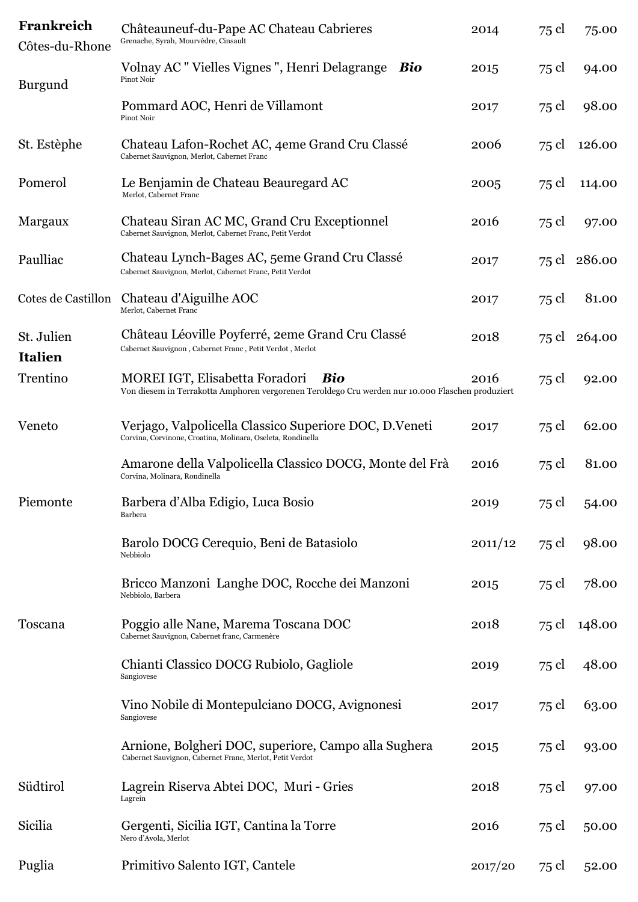| Frankreich<br>Côtes-du-Rhone | Châteauneuf-du-Pape AC Chateau Cabrieres<br>Grenache, Syrah, Mourvèdre, Cinsault                                                          | 2014    | 75 cl | 75.00        |
|------------------------------|-------------------------------------------------------------------------------------------------------------------------------------------|---------|-------|--------------|
| Burgund                      | Volnay AC "Vielles Vignes", Henri Delagrange<br>Bio<br>Pinot Noir                                                                         | 2015    | 75 cl | 94.00        |
|                              | Pommard AOC, Henri de Villamont<br>Pinot Noir                                                                                             | 2017    | 75 cl | 98.00        |
| St. Estèphe                  | Chateau Lafon-Rochet AC, 4eme Grand Cru Classé<br>Cabernet Sauvignon, Merlot, Cabernet Franc                                              | 2006    | 75 cl | 126.00       |
| Pomerol                      | Le Benjamin de Chateau Beauregard AC<br>Merlot, Cabernet Franc                                                                            | 2005    | 75 cl | 114.00       |
| Margaux                      | Chateau Siran AC MC, Grand Cru Exceptionnel<br>Cabernet Sauvignon, Merlot, Cabernet Franc, Petit Verdot                                   | 2016    | 75 cl | 97.00        |
| Paulliac                     | Chateau Lynch-Bages AC, 5eme Grand Cru Classé<br>Cabernet Sauvignon, Merlot, Cabernet Franc, Petit Verdot                                 | 2017    |       | 75 cl 286.00 |
| Cotes de Castillon           | Chateau d'Aiguilhe AOC<br>Merlot, Cabernet Franc                                                                                          | 2017    | 75 cl | 81.00        |
| St. Julien<br><b>Italien</b> | Château Léoville Poyferré, 2eme Grand Cru Classé<br>Cabernet Sauvignon, Cabernet Franc, Petit Verdot, Merlot                              | 2018    |       | 75 cl 264.00 |
| Trentino                     | MOREI IGT, Elisabetta Foradori<br>Bio<br>Von diesem in Terrakotta Amphoren vergorenen Teroldego Cru werden nur 10.000 Flaschen produziert | 2016    | 75 cl | 92.00        |
| Veneto                       | Verjago, Valpolicella Classico Superiore DOC, D.Veneti<br>Corvina, Corvinone, Croatina, Molinara, Oseleta, Rondinella                     | 2017    | 75 cl | 62.00        |
|                              | Amarone della Valpolicella Classico DOCG, Monte del Frà<br>Corvina, Molinara, Rondinella                                                  | 2016    | 75 cl | 81.00        |
| Piemonte                     | Barbera d'Alba Edigio, Luca Bosio<br><b>Barbera</b>                                                                                       | 2019    | 75 cl | 54.00        |
|                              | Barolo DOCG Cerequio, Beni de Batasiolo<br>Nebbiolo                                                                                       | 2011/12 | 75 cl | 98.00        |
|                              | Bricco Manzoni Langhe DOC, Rocche dei Manzoni<br>Nebbiolo, Barbera                                                                        | 2015    | 75 cl | 78.00        |
| Toscana                      | Poggio alle Nane, Marema Toscana DOC<br>Cabernet Sauvignon, Cabernet franc, Carmenère                                                     | 2018    | 75 cl | 148.00       |
|                              | Chianti Classico DOCG Rubiolo, Gagliole<br>Sangiovese                                                                                     | 2019    | 75 cl | 48.00        |
|                              | Vino Nobile di Montepulciano DOCG, Avignonesi<br>Sangiovese                                                                               | 2017    | 75 cl | 63.00        |
|                              | Arnione, Bolgheri DOC, superiore, Campo alla Sughera<br>Cabernet Sauvignon, Cabernet Franc, Merlot, Petit Verdot                          | 2015    | 75 cl | 93.00        |
| Südtirol                     | Lagrein Riserva Abtei DOC, Muri - Gries<br>Lagrein                                                                                        | 2018    | 75 cl | 97.00        |
| Sicilia                      | Gergenti, Sicilia IGT, Cantina la Torre<br>Nero d'Avola, Merlot                                                                           | 2016    | 75 cl | 50.00        |
| Puglia                       | Primitivo Salento IGT, Cantele                                                                                                            | 2017/20 | 75 cl | 52.00        |